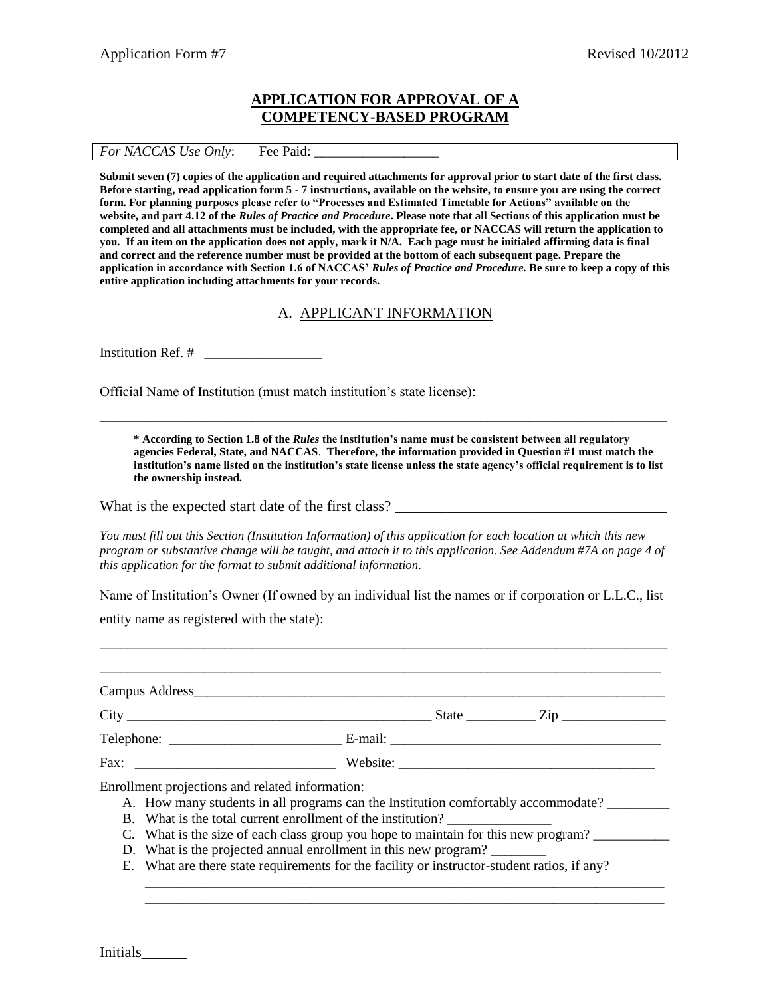## **APPLICATION FOR APPROVAL OF A COMPETENCY-BASED PROGRAM**

#### *For NACCAS Use Only*: Fee Paid:

**Submit seven (7) copies of the application and required attachments for approval prior to start date of the first class. Before starting, read application form 5 - 7 instructions, available on the website, to ensure you are using the correct form. For planning purposes please refer to "Processes and Estimated Timetable for Actions" available on the website, and part 4.12 of the** *Rules of Practice and Procedure***. Please note that all Sections of this application must be completed and all attachments must be included, with the appropriate fee, or NACCAS will return the application to you. If an item on the application does not apply, mark it N/A. Each page must be initialed affirming data is final and correct and the reference number must be provided at the bottom of each subsequent page. Prepare the application in accordance with Section 1.6 of NACCAS'** *Rules of Practice and Procedure.* **Be sure to keep a copy of this entire application including attachments for your records.** 

### A. APPLICANT INFORMATION

\_\_\_\_\_\_\_\_\_\_\_\_\_\_\_\_\_\_\_\_\_\_\_\_\_\_\_\_\_\_\_\_\_\_\_\_\_\_\_\_\_\_\_\_\_\_\_\_\_\_\_\_\_\_\_\_\_\_\_\_\_\_\_\_\_\_\_\_\_\_\_\_\_\_\_\_\_\_\_\_\_\_

Institution Ref. # \_\_\_\_\_\_\_\_\_\_\_\_\_\_\_\_\_

Official Name of Institution (must match institution's state license):

**\* According to Section 1.8 of the** *Rules* **the institution's name must be consistent between all regulatory agencies Federal, State, and NACCAS**. **Therefore, the information provided in Question #1 must match the institution's name listed on the institution's state license unless the state agency's official requirement is to list the ownership instead.** 

What is the expected start date of the first class?

*You must fill out this Section (Institution Information) of this application for each location at which this new program or substantive change will be taught, and attach it to this application. See Addendum #7A on page 4 of this application for the format to submit additional information.*

Name of Institution's Owner (If owned by an individual list the names or if corporation or L.L.C., list

\_\_\_\_\_\_\_\_\_\_\_\_\_\_\_\_\_\_\_\_\_\_\_\_\_\_\_\_\_\_\_\_\_\_\_\_\_\_\_\_\_\_\_\_\_\_\_\_\_\_\_\_\_\_\_\_\_\_\_\_\_\_\_\_\_\_\_\_\_\_\_\_\_\_\_\_\_\_\_\_\_\_

entity name as registered with the state):

| Enrollment projections and related information:<br>A. How many students in all programs can the Institution comfortably accommodate? |  |
|--------------------------------------------------------------------------------------------------------------------------------------|--|
| B. What is the total current enrollment of the institution?                                                                          |  |
| C. What is the size of each class group you hope to maintain for this new program?                                                   |  |

- D. What is the projected annual enrollment in this new program?
- E. What are there state requirements for the facility or instructor-student ratios, if any?

\_\_\_\_\_\_\_\_\_\_\_\_\_\_\_\_\_\_\_\_\_\_\_\_\_\_\_\_\_\_\_\_\_\_\_\_\_\_\_\_\_\_\_\_\_\_\_\_\_\_\_\_\_\_\_\_\_\_\_\_\_\_\_\_\_\_\_\_\_\_\_\_\_\_\_ \_\_\_\_\_\_\_\_\_\_\_\_\_\_\_\_\_\_\_\_\_\_\_\_\_\_\_\_\_\_\_\_\_\_\_\_\_\_\_\_\_\_\_\_\_\_\_\_\_\_\_\_\_\_\_\_\_\_\_\_\_\_\_\_\_\_\_\_\_\_\_\_\_\_\_

Initials\_\_\_\_\_\_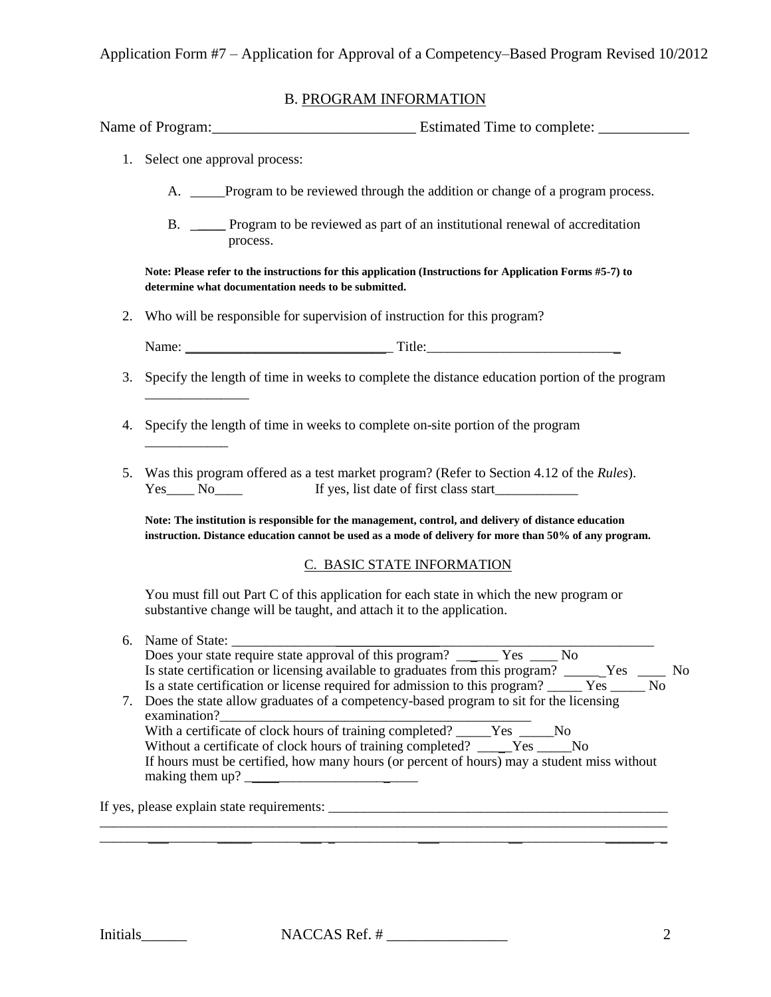Application Form #7 – Application for Approval of a Competency–Based Program Revised 10/2012

### B. PROGRAM INFORMATION

| Name of Program: | Estimated Time to complete: |  |
|------------------|-----------------------------|--|
|                  |                             |  |
|                  |                             |  |

1. Select one approval process:

\_\_\_\_\_\_\_\_\_\_\_\_

- A. \_\_\_\_\_Program to be reviewed through the addition or change of a program process.
- B. \_**\_\_\_\_** Program to be reviewed as part of an institutional renewal of accreditation process.

**Note: Please refer to the instructions for this application (Instructions for Application Forms #5-7) to determine what documentation needs to be submitted.**

2. Who will be responsible for supervision of instruction for this program?

Name: \_\_\_\_\_\_\_\_\_\_\_\_\_\_\_\_\_\_\_\_\_\_\_\_\_\_\_\_\_\_ Title:\_\_\_\_\_\_\_\_\_\_\_\_\_\_\_\_\_\_\_\_\_\_\_\_\_\_\_\_

- 3. Specify the length of time in weeks to complete the distance education portion of the program \_\_\_\_\_\_\_\_\_\_\_\_\_\_\_
- 4. Specify the length of time in weeks to complete on-site portion of the program
- 5. Was this program offered as a test market program? (Refer to Section 4.12 of the *Rules*). Yes No<sub>ll</sub> No If yes, list date of first class start

**Note: The institution is responsible for the management, control, and delivery of distance education instruction. Distance education cannot be used as a mode of delivery for more than 50% of any program.** 

#### C. BASIC STATE INFORMATION

You must fill out Part C of this application for each state in which the new program or substantive change will be taught, and attach it to the application.

| 6. Name of State:                                                                                  |
|----------------------------------------------------------------------------------------------------|
|                                                                                                    |
| Is state certification or licensing available to graduates from this program? _______Yes _______No |
|                                                                                                    |
| 7. Does the state allow graduates of a competency-based program to sit for the licensing           |
| examination?                                                                                       |
| With a certificate of clock hours of training completed? ______Yes ______No                        |
| Without a certificate of clock hours of training completed? _____Yes ______No                      |
| If hours must be certified, how many hours (or percent of hours) may a student miss without        |
| making them up?                                                                                    |
|                                                                                                    |

If yes, please explain state requirements:

\_\_\_\_\_\_\_\_\_\_\_\_\_\_\_\_\_\_\_\_\_\_\_\_\_\_\_\_\_\_\_\_\_\_\_\_\_\_\_\_\_\_\_\_\_\_\_\_\_\_\_\_\_\_\_\_\_\_\_\_\_\_\_\_\_\_\_\_\_\_\_\_\_\_\_\_\_\_\_\_\_\_ \_\_\_\_\_\_\_\_\_\_\_\_\_\_\_\_\_\_\_\_\_\_\_\_\_\_\_\_\_\_\_\_\_\_\_\_\_\_\_\_\_\_\_\_\_\_\_\_\_\_\_\_\_\_\_\_\_\_\_\_\_\_\_\_\_\_\_\_\_\_\_\_\_\_\_\_\_\_\_\_\_\_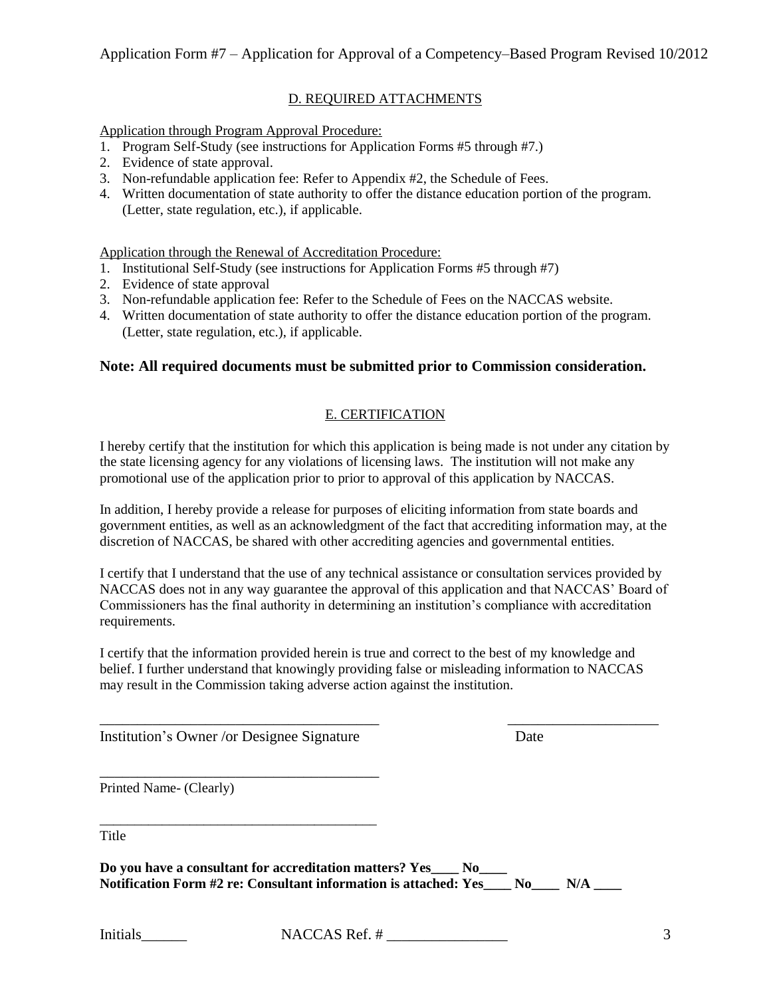### D. REQUIRED ATTACHMENTS

Application through Program Approval Procedure:

- 1. Program Self-Study (see instructions for Application Forms #5 through #7.)
- 2. Evidence of state approval.
- 3. Non-refundable application fee: Refer to Appendix #2, the Schedule of Fees.
- 4. Written documentation of state authority to offer the distance education portion of the program. (Letter, state regulation, etc.), if applicable.

Application through the Renewal of Accreditation Procedure:

- 1. Institutional Self-Study (see instructions for Application Forms #5 through #7)
- 2. Evidence of state approval
- 3. Non-refundable application fee: Refer to the Schedule of Fees on the NACCAS website.
- 4. Written documentation of state authority to offer the distance education portion of the program. (Letter, state regulation, etc.), if applicable.

## **Note: All required documents must be submitted prior to Commission consideration.**

## E. CERTIFICATION

I hereby certify that the institution for which this application is being made is not under any citation by the state licensing agency for any violations of licensing laws. The institution will not make any promotional use of the application prior to prior to approval of this application by NACCAS.

In addition, I hereby provide a release for purposes of eliciting information from state boards and government entities, as well as an acknowledgment of the fact that accrediting information may, at the discretion of NACCAS, be shared with other accrediting agencies and governmental entities.

I certify that I understand that the use of any technical assistance or consultation services provided by NACCAS does not in any way guarantee the approval of this application and that NACCAS' Board of Commissioners has the final authority in determining an institution's compliance with accreditation requirements.

I certify that the information provided herein is true and correct to the best of my knowledge and belief. I further understand that knowingly providing false or misleading information to NACCAS may result in the Commission taking adverse action against the institution.

\_\_\_\_\_\_\_\_\_\_\_\_\_\_\_\_\_\_\_\_\_\_\_\_\_\_\_\_\_\_\_\_\_\_\_\_\_ \_\_\_\_\_\_\_\_\_\_\_\_\_\_\_\_\_\_\_\_

Institution's Owner /or Designee Signature Date

\_\_\_\_\_\_\_\_\_\_\_\_\_\_\_\_\_\_\_\_\_\_\_\_\_\_\_\_\_\_\_\_\_\_\_\_\_

\_\_\_\_\_\_\_\_\_\_\_\_\_\_\_\_\_\_\_\_\_\_\_\_\_\_\_\_\_\_\_\_\_\_\_\_\_\_\_\_

Printed Name- (Clearly)

Title

**Do you have a consultant for accreditation matters? Yes\_\_\_\_ No\_\_\_\_** Notification Form #2 re: Consultant information is attached: Yes No N/A

Initials\_\_\_\_\_\_ NACCAS Ref. # \_\_\_\_\_\_\_\_\_\_\_\_\_\_\_\_ 3